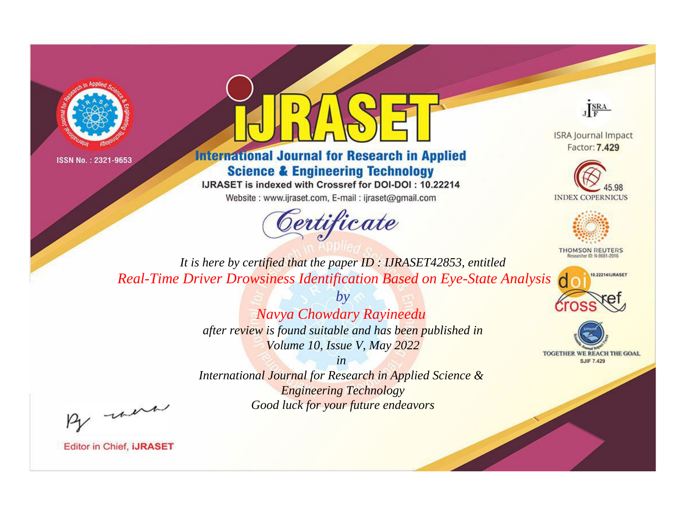



# **International Journal for Research in Applied Science & Engineering Technology**

IJRASET is indexed with Crossref for DOI-DOI: 10.22214

Website: www.ijraset.com, E-mail: ijraset@gmail.com



JERA

**ISRA Journal Impact** Factor: 7.429





**THOMSON REUTERS** 



TOGETHER WE REACH THE GOAL **SJIF 7.429** 

*It is here by certified that the paper ID : IJRASET42853, entitled Real-Time Driver Drowsiness Identification Based on Eye-State Analysis*

> *by Navya Chowdary Rayineedu after review is found suitable and has been published in Volume 10, Issue V, May 2022*

> > *in*

*International Journal for Research in Applied Science & Engineering Technology Good luck for your future endeavors*

By morn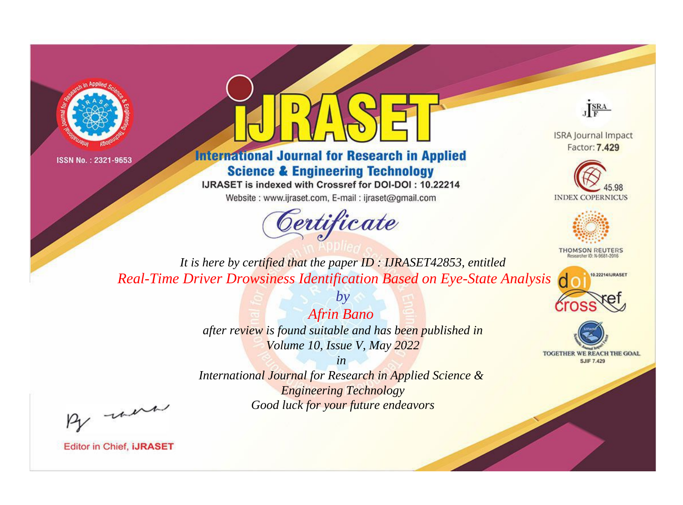



# **International Journal for Research in Applied Science & Engineering Technology**

IJRASET is indexed with Crossref for DOI-DOI: 10.22214

Website: www.ijraset.com, E-mail: ijraset@gmail.com



JERA

**ISRA Journal Impact** Factor: 7.429





**THOMSON REUTERS** 



TOGETHER WE REACH THE GOAL **SJIF 7.429** 

*It is here by certified that the paper ID : IJRASET42853, entitled Real-Time Driver Drowsiness Identification Based on Eye-State Analysis*

> *Afrin Bano after review is found suitable and has been published in Volume 10, Issue V, May 2022*

*by*

*in* 

*International Journal for Research in Applied Science & Engineering Technology Good luck for your future endeavors*

By morn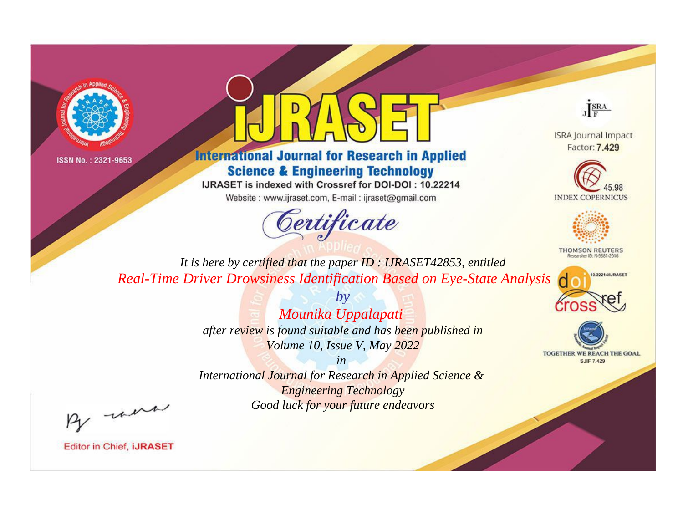



# **International Journal for Research in Applied Science & Engineering Technology**

IJRASET is indexed with Crossref for DOI-DOI: 10.22214

Website: www.ijraset.com, E-mail: ijraset@gmail.com



JERA

**ISRA Journal Impact** Factor: 7.429





**THOMSON REUTERS** 



TOGETHER WE REACH THE GOAL **SJIF 7.429** 

*It is here by certified that the paper ID : IJRASET42853, entitled Real-Time Driver Drowsiness Identification Based on Eye-State Analysis*

> *by Mounika Uppalapati after review is found suitable and has been published in Volume 10, Issue V, May 2022*

> > *in*

*International Journal for Research in Applied Science & Engineering Technology Good luck for your future endeavors*

By morn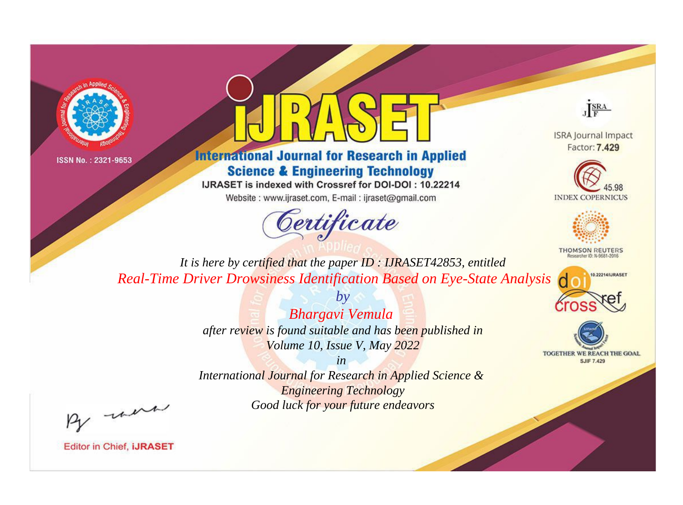



# **International Journal for Research in Applied Science & Engineering Technology**

IJRASET is indexed with Crossref for DOI-DOI: 10.22214

Website: www.ijraset.com, E-mail: ijraset@gmail.com



JERA

**ISRA Journal Impact** Factor: 7.429





**THOMSON REUTERS** 



TOGETHER WE REACH THE GOAL **SJIF 7.429** 

*It is here by certified that the paper ID : IJRASET42853, entitled Real-Time Driver Drowsiness Identification Based on Eye-State Analysis*

> *Bhargavi Vemula after review is found suitable and has been published in Volume 10, Issue V, May 2022*

*by*

*in* 

*International Journal for Research in Applied Science & Engineering Technology Good luck for your future endeavors*

By morn